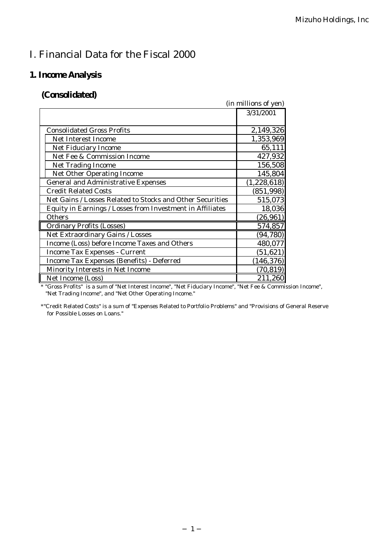# I. Financial Data for the Fiscal 2000

# **1. Income Analysis**

# **(Consolidated)**

|                                                           | (in millions of yen) |
|-----------------------------------------------------------|----------------------|
|                                                           | 3/31/2001            |
|                                                           |                      |
| <b>Consolidated Gross Profits</b>                         | 2,149,326            |
| <b>Net Interest Income</b>                                | 1,353,969            |
| <b>Net Fiduciary Income</b>                               | 65,111               |
| Net Fee & Commission Income                               | 427,932              |
| <b>Net Trading Income</b>                                 | 156,508              |
| <b>Net Other Operating Income</b>                         | 145,804              |
| <b>General and Administrative Expenses</b>                | (1, 228, 618)        |
| <b>Credit Related Costs</b>                               | (851, 998)           |
| Net Gains / Losses Related to Stocks and Other Securities | 515,073              |
| Equity in Earnings / Losses from Investment in Affiliates | 18,036               |
| Others                                                    | (26, 961)            |
| <b>Ordinary Profits (Losses)</b>                          | 574,857              |
| Net Extraordinary Gains / Losses                          | (94, 780)            |
| Income (Loss) before Income Taxes and Others              | 480,077              |
| <b>Income Tax Expenses - Current</b>                      | (51, 621)            |
| Income Tax Expenses (Benefits) - Deferred                 | (146, 376)           |
| Minority Interests in Net Income                          | (70, 819)            |
| Net Income (Loss)                                         | 211,260              |

*\* "Gross Profits" is a sum of "Net Interest Income", "Net Fiduciary Income", "Net Fee & Commission Income", "Net Trading Income", and "Net Other Operating Income."*

*\*"Credit Related Costs" is a sum of "Expenses Related to Portfolio Problems" and "Provisions of General Reserve for Possible Losses on Loans."*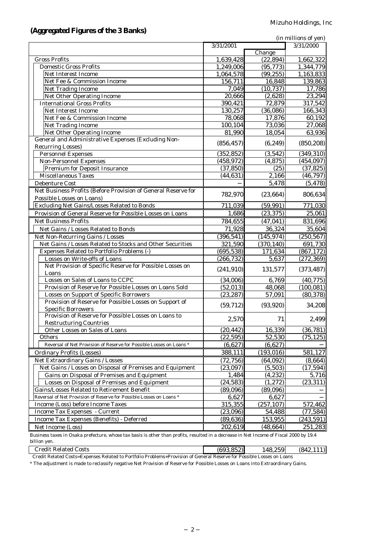### **(Aggregated Figures of the 3 Banks)**

|                                                                                                                                        |            |                            | (in millions of yen) |
|----------------------------------------------------------------------------------------------------------------------------------------|------------|----------------------------|----------------------|
|                                                                                                                                        | 3/31/2001  |                            | 3/31/2000            |
|                                                                                                                                        |            | $\overline{\text{Change}}$ |                      |
| <b>Gross Profits</b>                                                                                                                   | 1,639,428  | (22, 894)                  | 1,662,322            |
| <b>Domestic Gross Profits</b>                                                                                                          | 1,249,006  | (95, 773)                  | 1,344,779            |
| Net Interest Income                                                                                                                    | 1,064,578  | (99, 255)                  | 1,163,833            |
| Net Fee & Commission Income                                                                                                            | 156,711    | 16,848                     | 139,863              |
| <b>Net Trading Income</b>                                                                                                              | 7,049      | (10, 737)                  | 17,786               |
| Net Other Operating Income                                                                                                             | 20,666     | (2,628)                    | 23,294               |
| <b>International Gross Profits</b>                                                                                                     | 390,421    | 72,879                     | 317,542              |
| Net Interest Income                                                                                                                    | 130,257    | (36,086)                   | 166,343              |
| Net Fee & Commission Income                                                                                                            | 78,068     | 17,876                     | 60,192               |
| <b>Net Trading Income</b>                                                                                                              | 100,104    | 73,036                     | 27,068               |
| Net Other Operating Income                                                                                                             | 81,990     | 18,054                     | 63,936               |
| General and Administrative Expenses (Excluding Non-                                                                                    |            | (6, 249)                   | (850, 208)           |
| <b>Recurring Losses)</b>                                                                                                               | (856, 457) |                            |                      |
| <b>Personnel Expenses</b>                                                                                                              | (352, 852) | (3,542)                    | (349, 310)           |
| <b>Non-Personnel Expenses</b>                                                                                                          | (458, 972) | (4, 875)                   | (454, 097)           |
| <b>Premium for Deposit Insurance</b>                                                                                                   | (37, 850)  | (25)                       | (37, 825)            |
| Miscellaneous Taxes                                                                                                                    | (44, 631)  | 2,166                      | (46, 797)            |
| Debenture Cost                                                                                                                         |            | 5,478                      | (5, 478)             |
| Net Business Profits (Before Provision of General Reserve for                                                                          |            |                            |                      |
| Possible Losses on Loans)                                                                                                              | 782,970    | (23, 664)                  | 806,634              |
| Excluding Net Gains/Losses Related to Bonds                                                                                            | 711,039    | (59, 991)                  | 771,030              |
| Provision of General Reserve for Possible Losses on Loans                                                                              | 1,686      | (23, 375)                  | 25,061               |
| <b>Net Business Profits</b>                                                                                                            | 784,655    | (47, 041)                  | 831,696              |
| Net Gains / Losses Related to Bonds                                                                                                    | 71,928     | 36,324                     | 35,604               |
|                                                                                                                                        |            |                            |                      |
| Net Non-Recurring Gains / Losses                                                                                                       | (396, 541) | (145, 974)                 | (250, 567)           |
| Net Gains / Losses Related to Stocks and Other Securities                                                                              | 321,590    | (370, 140)                 | 691,730              |
| Expenses Related to Portfolio Problems (-)                                                                                             | (695, 538) | 171,634                    | (867, 172)           |
| Losses on Write-offs of Loans                                                                                                          | (266, 732) | 5,637                      | (272, 369)           |
| Net Provision of Specific Reserve for Possible Losses on                                                                               | (241, 910) | 131,577                    | (373, 487)           |
| Loans                                                                                                                                  |            |                            |                      |
| Losses on Sales of Loans to CCPC                                                                                                       | (34,006)   | 6,769                      | (40, 775)            |
| Provision of Reserve for Possible Losses on Loans Sold                                                                                 | (52, 013)  | 48,068                     | (100, 081)           |
| <b>Losses on Support of Specific Borrowers</b>                                                                                         | (23, 287)  | 57,091                     | (80, 378)            |
| Provision of Reserve for Possible Losses on Support of                                                                                 | (59, 712)  | (93, 920)                  | 34,208               |
| <b>Specific Borrowers</b><br>Provision of Reserve for Possible Losses on Loans to                                                      |            |                            |                      |
|                                                                                                                                        | 2,570      | 71                         | 2,499                |
| <b>Restructuring Countries</b>                                                                                                         |            |                            |                      |
| Other Losses on Sales of Loans                                                                                                         | (20, 442)  | 16,339                     | (36, 781)            |
| Others                                                                                                                                 | (22, 595)  | 52,530                     | (75, 125)            |
| Reversal of Net Provision of Reserve for Possible Losses on Loans *                                                                    | (6,627)    | (6,627)                    |                      |
| <b>Ordinary Profits (Losses)</b>                                                                                                       | 388,111    | (193, 016)                 | 581,127              |
| Net Extraordinary Gains / Losses                                                                                                       | (72, 756)  | (64, 092)                  | (8,664)              |
| Net Gains / Losses on Disposal of Premises and Equipment                                                                               | (23,097)   | (5,503)                    | (17, 594)            |
| Gains on Disposal of Premises and Equipment                                                                                            | 1,484      | (4,232)                    | 5,716                |
| Losses on Disposal of Premises and Equipment                                                                                           | (24, 583)  | (1, 272)                   | (23, 311)            |
| Gains/Losses Related to Retirement Benefit                                                                                             | (89,096)   | (89,096)                   |                      |
| Reversal of Net Provision of Reserve for Possible Losses on Loans *                                                                    | 6,627      | 6,627                      |                      |
| Income (Loss) before Income Taxes                                                                                                      | 315,355    | (257, 107)                 | 572,462              |
| Income Tax Expenses - Current                                                                                                          | (23,096)   | 54,488                     | (77, 584)            |
| Income Tax Expenses (Benefits) - Deferred                                                                                              | (89, 636)  | 153,955                    | (243, 591)           |
| Net Income (Loss)                                                                                                                      | 202,619    | (48, 664)                  | 251,283              |
| Business taxes in Osaka prefecture, whose tax basis is other than profits, resulted in a decrease in Net Income of Fiscal 2000 by 19.4 |            |                            |                      |
|                                                                                                                                        |            |                            |                      |

*Business taxes in Osaka prefecture, whose tax basis is other than profits, resulted in a decrease in Net Income of Fiscal 2000 by 19.4 billion yen.*

Credit Related Costs (693,852) 148,259 (842,111)

 *Credit Related Costs=Expenses Related to Portfolio Problems+Provision of General Reserve for Possible Losses on Loans*

*\* The adjustment is made to reclassify negative Net Provision of Reserve for Possible Losses on Loans into Extraordinary Gains.*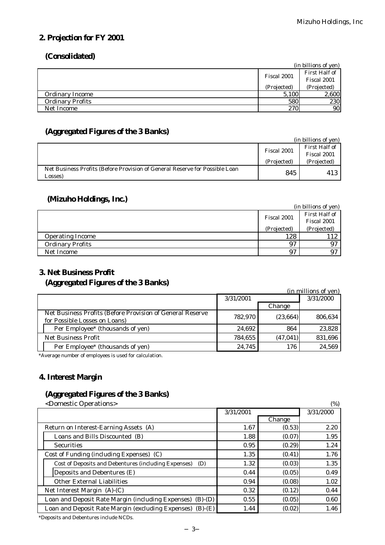## **2. Projection for FY 2001**

### **(Consolidated)**

|                         |             | (in billions of yen)         |
|-------------------------|-------------|------------------------------|
|                         | Fiscal 2001 | First Half of<br>Fiscal 2001 |
|                         | (Projected) | (Projected)                  |
| <b>Ordinary Income</b>  | 5,100       | 2,600                        |
| <b>Ordinary Profits</b> | 580         | 230                          |
| Net Income              | 270         | <b>90</b>                    |

## **(Aggregated Figures of the 3 Banks)**

|                                                                                        |             | (in billions of yen) |
|----------------------------------------------------------------------------------------|-------------|----------------------|
|                                                                                        | Fiscal 2001 | First Half of        |
|                                                                                        |             | Fiscal 2001          |
|                                                                                        | (Projected) | (Projected)          |
| Net Business Profits (Before Provision of General Reserve for Possible Loan<br>Losses) | 845         | 413                  |

## **(Mizuho Holdings, Inc.)**

|                         |             | (in billions of yen) |
|-------------------------|-------------|----------------------|
|                         | Fiscal 2001 | First Half of        |
|                         |             | Fiscal 2001          |
|                         | (Projected) | (Projected)          |
| <b>Operating Income</b> | 128         | 112                  |
| <b>Ordinary Profits</b> | 97          | 97                   |
| Net Income              | 97          |                      |

# **3. Net Business Profit**

# **(Aggregated Figures of the 3 Banks)**

| (2.55)                                                                                     |           |           | (in millions of yen) |
|--------------------------------------------------------------------------------------------|-----------|-----------|----------------------|
|                                                                                            | 3/31/2001 |           | 3/31/2000            |
|                                                                                            |           | Change    |                      |
| Net Business Profits (Before Provision of General Reserve<br>for Possible Losses on Loans) | 782.970   | (23, 664) | 806.634              |
| Per Employee* (thousands of yen)                                                           | 24,692    | 864       | 23,828               |
| <b>Net Business Profit</b>                                                                 | 784,655   | (47, 041) | 831,696              |
| Per Employee* (thousands of yen)                                                           | 24,745    | 176       | 24,569               |

*\*Average number of employees is used for calculation.*

# **4. Interest Margin**

## **(Aggregated Figures of the 3 Banks)**

| <domestic operations=""></domestic>                         |           |        | (%)       |
|-------------------------------------------------------------|-----------|--------|-----------|
|                                                             | 3/31/2001 |        | 3/31/2000 |
|                                                             |           | Change |           |
| Return on Interest-Earning Assets (A)                       | 1.67      | (0.53) | 2.20      |
| Loans and Bills Discounted (B)                              | 1.88      | (0.07) | 1.95      |
| <b>Securities</b>                                           | 0.95      | (0.29) | 1.24      |
| Cost of Funding (including Expenses) (C)                    | 1.35      | (0.41) | 1.76      |
| Cost of Deposits and Debentures (including Expenses)<br>(D) | 1.32      | (0.03) | 1.35      |
| Deposits and Debentures (E)                                 | 0.44      | (0.05) | 0.49      |
| Other External Liabilities                                  | 0.94      | (0.08) | 1.02      |
| Net Interest Margin $(A)-(C)$                               | 0.32      | (0.12) | 0.44      |
| Loan and Deposit Rate Margin (including Expenses) (B)-(D)   | 0.55      | (0.05) | 0.60      |
| Loan and Deposit Rate Margin (excluding Expenses) (B)-(E)   | 1.44      | (0.02) | 1.46      |

*\*Deposits and Debentures include NCDs.*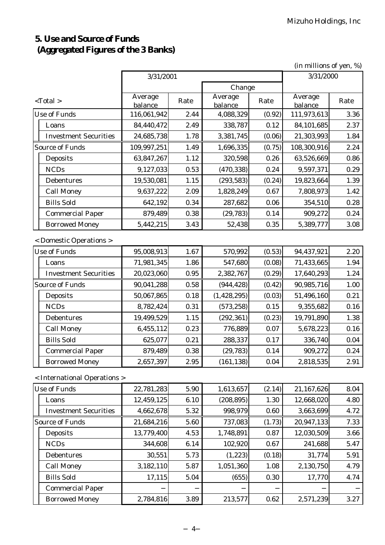# **5. Use and Source of Funds (Aggregated Figures of the 3 Banks)**

(in millions of yen, %)

|                        | 3/31/2001                    |                    |      | 3/31/2000          |        |                    |      |
|------------------------|------------------------------|--------------------|------|--------------------|--------|--------------------|------|
|                        | Change                       |                    |      |                    |        |                    |      |
|                        | $<$ Total $>$                | Average<br>balance | Rate | Average<br>balance | Rate   | Average<br>balance | Rate |
|                        | <b>Use of Funds</b>          | 116,061,942        | 2.44 | 4,088,329          | (0.92) | 111,973,613        | 3.36 |
|                        | Loans                        | 84,440,472         | 2.49 | 338,787            | 0.12   | 84,101,685         | 2.37 |
|                        | <b>Investment Securities</b> | 24,685,738         | 1.78 | 3,381,745          | (0.06) | 21,303,993         | 1.84 |
|                        | <b>Source of Funds</b>       | 109,997,251        | 1.49 | 1,696,335          | (0.75) | 108,300,916        | 2.24 |
|                        | Deposits                     | 63,847,267         | 1.12 | 320,598            | 0.26   | 63,526,669         | 0.86 |
|                        | <b>NCDs</b>                  | 9,127,033          | 0.53 | (470, 338)         | 0.24   | 9,597,371          | 0.29 |
|                        | Debentures                   | 19,530,081         | 1.15 | (293, 583)         | (0.24) | 19,823,664         | 1.39 |
|                        | <b>Call Money</b>            | 9,637,222          | 2.09 | 1,828,249          | 0.67   | 7,808,973          | 1.42 |
|                        | <b>Bills Sold</b>            | 642,192            | 0.34 | 287,682            | 0.06   | 354,510            | 0.28 |
|                        | <b>Commercial Paper</b>      | 879,489            | 0.38 | (29, 783)          | 0.14   | 909,272            | 0.24 |
|                        | <b>Borrowed Money</b>        | 5,442,215          | 3.43 | 52,438             | 0.35   | 5,389,777          | 3.08 |
|                        | < Domestic Operations >      |                    |      |                    |        |                    |      |
|                        | <b>Use of Funds</b>          | 95,008,913         | 1.67 | 570,992            | (0.53) | 94,437,921         | 2.20 |
|                        | Loans                        | 71,981,345         | 1.86 | 547,680            | (0.08) | 71,433,665         | 1.94 |
|                        | <b>Investment Securities</b> | 20,023,060         | 0.95 | 2,382,767          | (0.29) | 17,640,293         | 1.24 |
| <b>Source of Funds</b> |                              | 90,041,288         | 0.58 | (944, 428)         | (0.42) | 90,985,716         | 1.00 |
|                        | Deposits                     | 50,067,865         | 0.18 | (1, 428, 295)      | (0.03) | 51,496,160         | 0.21 |
|                        | <b>NCDs</b>                  | 8,782,424          | 0.31 | (573, 258)         | 0.15   | 9,355,682          | 0.16 |
|                        | Debentures                   | 19,499,529         | 1.15 | (292, 361)         | (0.23) | 19,791,890         | 1.38 |
|                        | <b>Call Money</b>            | 6,455,112          | 0.23 | 776,889            | 0.07   | 5,678,223          | 0.16 |
|                        | <b>Bills Sold</b>            | 625,077            | 0.21 | 288,337            | 0.17   | 336,740            | 0.04 |
|                        | <b>Commercial Paper</b>      | 879,489            | 0.38 | (29, 783)          | 0.14   | 909,272            | 0.24 |
|                        | <b>Borrowed Money</b>        | 2,657,397          | 2.95 | (161, 138)         | 0.04   | 2,818,535          | 2.91 |
|                        | < International Operations > |                    |      |                    |        |                    |      |
|                        | <b>Use of Funds</b>          | 22,781,283         | 5.90 | 1,613,657          | (2.14) | 21,167,626         | 8.04 |
|                        | Loans                        | 12,459,125         | 6.10 | (208, 895)         | 1.30   | 12,668,020         | 4.80 |
|                        | <b>Investment Securities</b> | 4,662,678          | 5.32 | 998,979            | 0.60   | 3,663,699          | 4.72 |
|                        | <b>Source of Funds</b>       | 21,684,216         | 5.60 | 737,083            | (1.73) | 20,947,133         | 7.33 |
|                        | Deposits                     | 13,779,400         | 4.53 | 1,748,891          | 0.87   | 12,030,509         | 3.66 |
|                        | <b>NCDs</b>                  | 344,608            | 6.14 | 102,920            | 0.67   | 241,688            | 5.47 |
|                        | Debentures                   | 30,551             | 5.73 | (1, 223)           | (0.18) | 31,774             | 5.91 |
|                        | <b>Call Money</b>            | 3,182,110          | 5.87 | 1,051,360          | 1.08   | 2,130,750          | 4.79 |
|                        | <b>Bills Sold</b>            | 17,115             | 5.04 | (655)              | 0.30   | 17,770             | 4.74 |
|                        | <b>Commercial Paper</b>      |                    |      |                    |        |                    |      |
|                        | <b>Borrowed Money</b>        | 2,784,816          | 3.89 | 213,577            | 0.62   | 2,571,239          | 3.27 |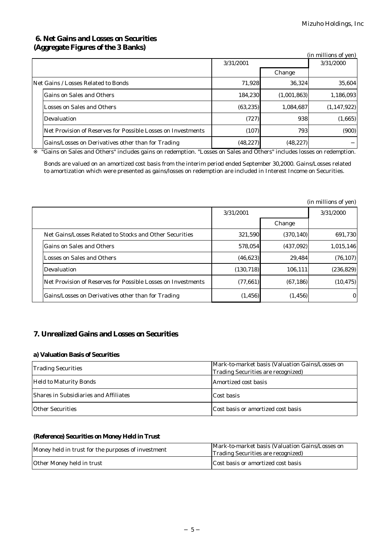### **6. Net Gains and Losses on Securities (Aggregate Figures of the 3 Banks)**

| $\frac{1}{2}$                                                |           |             | (in millions of yen) |
|--------------------------------------------------------------|-----------|-------------|----------------------|
|                                                              | 3/31/2001 |             | 3/31/2000            |
|                                                              |           | Change      |                      |
| Net Gains / Losses Related to Bonds                          | 71,928    | 36.324      | 35,604               |
| Gains on Sales and Others                                    | 184,230   | (1,001,863) | 1,186,093            |
| Losses on Sales and Others                                   | (63, 235) | 1,084,687   | (1, 147, 922)        |
| Devaluation                                                  | (727)     | 938         | (1,665)              |
| Net Provision of Reserves for Possible Losses on Investments | (107)     | 793         | (900)                |
| Gains/Losses on Derivatives other than for Trading           | (48, 227) | (48, 227)   |                      |

 *"Gains on Sales and Others" includes gains on redemption. "Losses on Sales and Others" includes losses on redemption.*

*Bonds are valued on an amortized cost basis from the interim period ended September 30,2000. Gains/Losses related to amortization which were presented as gains/losses on redemption are included in Interest Income on Securities.*

|                                                              |            |            | (in millions of yen) |
|--------------------------------------------------------------|------------|------------|----------------------|
|                                                              | 3/31/2001  |            | 3/31/2000            |
|                                                              |            | Change     |                      |
| Net Gains/Losses Related to Stocks and Other Securities      | 321,590    | (370, 140) | 691,730              |
| Gains on Sales and Others                                    | 578,054    | (437,092)  | 1,015,146            |
| Losses on Sales and Others                                   | (46, 623)  | 29.484     | (76, 107)            |
| Devaluation                                                  | (130, 718) | 106,111    | (236, 829)           |
| Net Provision of Reserves for Possible Losses on Investments | (77, 661)  | (67, 186)  | (10, 475)            |
| Gains/Losses on Derivatives other than for Trading           | (1, 456)   | (1, 456)   | $\mathbf{0}$         |

### **7. Unrealized Gains and Losses on Securities**

#### **a) Valuation Basis of Securities**

| <b>Trading Securities</b>             | Mark-to-market basis (Valuation Gains/Losses on<br>Trading Securities are recognized) |
|---------------------------------------|---------------------------------------------------------------------------------------|
| <b>Held to Maturity Bonds</b>         | Amortized cost basis                                                                  |
| Shares in Subsidiaries and Affiliates | Cost basis                                                                            |
| <b>Other Securities</b>               | Cost basis or amortized cost basis                                                    |

#### **(Reference) Securities on Money Held in Trust**

| Money held in trust for the purposes of investment | Mark-to-market basis (Valuation Gains/Losses on<br>Trading Securities are recognized) |  |  |
|----------------------------------------------------|---------------------------------------------------------------------------------------|--|--|
| Other Money held in trust                          | Cost basis or amortized cost basis                                                    |  |  |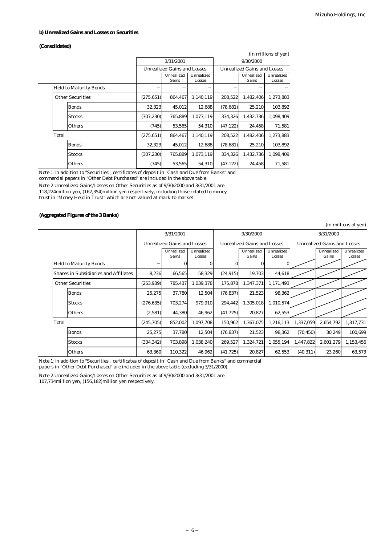#### **b) Unrealized Gains and Losses on Securities**

#### **(Consolidated)**

|       | (in millions of yen)          |            |                                    |                      |                                    |                     |                      |  |  |
|-------|-------------------------------|------------|------------------------------------|----------------------|------------------------------------|---------------------|----------------------|--|--|
|       |                               |            | 3/31/2001                          |                      | 9/30/2000                          |                     |                      |  |  |
|       |                               |            | <b>Unrealized Gains and Losses</b> |                      | <b>Unrealized Gains and Losses</b> |                     |                      |  |  |
|       |                               |            | Unrealized<br>Gains                | Unrealized<br>Losses |                                    | Unrealized<br>Gains | Unrealized<br>Losses |  |  |
|       | <b>Held to Maturity Bonds</b> |            |                                    |                      |                                    |                     |                      |  |  |
|       | <b>Other Securities</b>       | (275, 651) | 864,467                            | 1,140,119            | 208,522                            | 1,482,406           | 1,273,883            |  |  |
|       | <b>Bonds</b>                  | 32,323     | 45,012                             | 12,688               | (78, 681)                          | 25,210              | 103,892              |  |  |
|       | <b>Stocks</b>                 | (307, 230) | 765.889                            | 1.073.119            | 334.326                            | 1,432,736           | 1.098.409            |  |  |
|       | Others                        | (745)      | 53.565                             | 54,310               | (47, 122)                          | 24.458              | 71,581               |  |  |
| Total |                               | (275, 651) | 864,467                            | 1,140,119            | 208,522                            | 1,482,406           | 1,273,883            |  |  |
|       | Bonds                         | 32,323     | 45,012                             | 12,688               | (78, 681)                          | 25,210              | 103,892              |  |  |
|       | <b>Stocks</b>                 | (307, 230) | 765,889                            | 1,073,119            | 334,326                            | 1,432,736           | 1,098,409            |  |  |
|       | Others                        | (745)      | 53,565                             | 54,310               | (47, 122)                          | 24,458              | 71,581               |  |  |

Note 1:In addition to "Securities", certificates of deposit in "Cash and Due from Banks" and

commercial papers in "Other Debt Purchased" are included in the above table.

Note 2:Unrealized Gains/Losses on Other Securities as of 9/30/2000 and 3/31/2001 are 118,224million yen, (162,354)million yen respectively, including those related to money

trust in "Money Held in Trust" which are not valued at mark-to-market.

#### **(Aggregated Figures of the 3 Banks)**

|       | (in millions of yen)                  |            |                     |                                    |           |                                    |                      |           |                     |                      |
|-------|---------------------------------------|------------|---------------------|------------------------------------|-----------|------------------------------------|----------------------|-----------|---------------------|----------------------|
|       | 3/31/2001                             |            | 9/30/2000           |                                    |           | 3/31/2000                          |                      |           |                     |                      |
|       | <b>Unrealized Gains and Losses</b>    |            |                     | <b>Unrealized Gains and Losses</b> |           | <b>Unrealized Gains and Losses</b> |                      |           |                     |                      |
|       |                                       |            | Unrealized<br>Gains | Unrealized<br>Losses               |           | Unrealized<br>Gains                | Unrealized<br>Losses |           | Unrealized<br>Gains | Unrealized<br>Losses |
|       | <b>Held to Maturity Bonds</b>         |            | 0                   |                                    | 0         |                                    |                      |           |                     |                      |
|       | Shares in Subsidiaries and Affiliates | 8,236      | 66,565              | 58,329                             | (24.915)  | 19,703                             | 44,618               |           |                     |                      |
|       | <b>Other Securities</b>               | (253, 939) | 785,437             | 1,039,378                          | 175,878   | 1,347,371                          | 1,171,493            |           |                     |                      |
|       | <b>Bonds</b>                          | 25,275     | 37,780              | 12,504                             | (76, 837) | 21,523                             | 98,362               |           |                     |                      |
|       | <b>Stocks</b>                         | (276, 635) | 703,274             | 979,910                            | 294,442   | 1,305,018                          | 1,010,574            |           |                     |                      |
|       | Others                                | (2,581)    | 44,380              | 46,962                             | (41, 725) | 20,827                             | 62,553               |           |                     |                      |
| Total |                                       | (245, 705) | 852,002             | 1,097,708                          | 150,962   | 1,367,075                          | 1,216,113            | 1,337,059 | 2,654,792           | 1,317,731            |
|       | <b>Bonds</b>                          | 25,275     | 37,780              | 12,504                             | (76, 837) | 21,523                             | 98,362               | (70, 450) | 30,249              | 100,699              |
|       | <b>Stocks</b>                         | (334, 342) | 703,898             | 1,038,240                          | 269,527   | 1,324,721                          | 1,055,194            | 1,447,822 | 2,601,279           | 1,153,456            |
|       | Others                                | 63,360     | 110,322             | 46,962                             | (41, 725) | 20,827                             | 62,553               | (40, 311) | 23,260              | 63,573               |

Note 1:In addition to "Securities", certificates of deposit in "Cash and Due from Banks" and commercial

papers in "Other Debt Purchased" are included in the above table (excluding 3/31/2000).

Note 2:Unrealized Gains/Losses on Other Securities as of 9/30/2000 and 3/31/2001 are

107,734million yen, (156,182)million yen respectively.